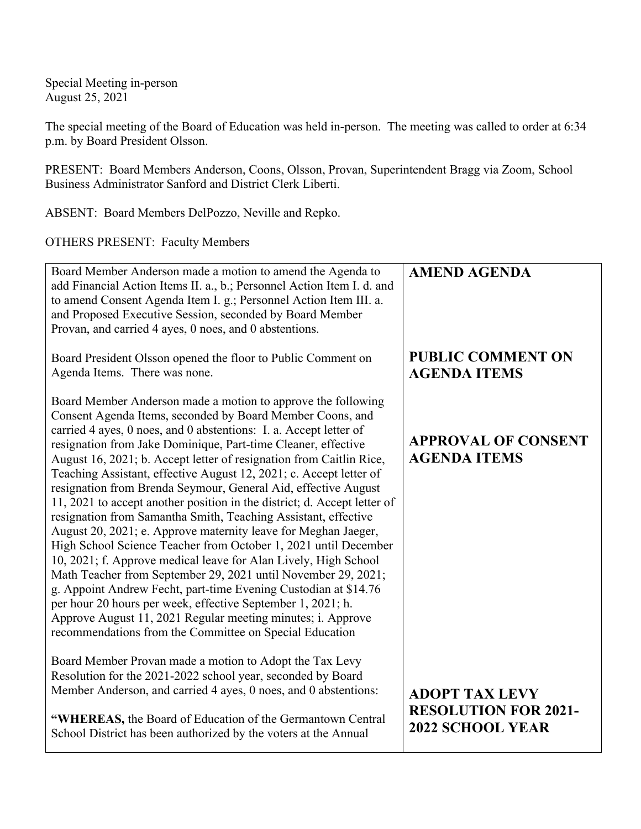Special Meeting in-person August 25, 2021

The special meeting of the Board of Education was held in-person. The meeting was called to order at 6:34 p.m. by Board President Olsson.

PRESENT: Board Members Anderson, Coons, Olsson, Provan, Superintendent Bragg via Zoom, School Business Administrator Sanford and District Clerk Liberti.

ABSENT: Board Members DelPozzo, Neville and Repko.

OTHERS PRESENT: Faculty Members

| Board Member Anderson made a motion to amend the Agenda to<br>add Financial Action Items II. a., b.; Personnel Action Item I. d. and<br>to amend Consent Agenda Item I. g.; Personnel Action Item III. a.<br>and Proposed Executive Session, seconded by Board Member<br>Provan, and carried 4 ayes, 0 noes, and 0 abstentions.                                                                                                                                                                                                                                                                                                                                                                                                                                                                                                                                                                                                                                                                                                                                                                                                                                   | <b>AMEND AGENDA</b>                                                             |
|-------------------------------------------------------------------------------------------------------------------------------------------------------------------------------------------------------------------------------------------------------------------------------------------------------------------------------------------------------------------------------------------------------------------------------------------------------------------------------------------------------------------------------------------------------------------------------------------------------------------------------------------------------------------------------------------------------------------------------------------------------------------------------------------------------------------------------------------------------------------------------------------------------------------------------------------------------------------------------------------------------------------------------------------------------------------------------------------------------------------------------------------------------------------|---------------------------------------------------------------------------------|
| Board President Olsson opened the floor to Public Comment on<br>Agenda Items. There was none.                                                                                                                                                                                                                                                                                                                                                                                                                                                                                                                                                                                                                                                                                                                                                                                                                                                                                                                                                                                                                                                                     | <b>PUBLIC COMMENT ON</b><br><b>AGENDA ITEMS</b>                                 |
| Board Member Anderson made a motion to approve the following<br>Consent Agenda Items, seconded by Board Member Coons, and<br>carried 4 ayes, 0 noes, and 0 abstentions: I. a. Accept letter of<br>resignation from Jake Dominique, Part-time Cleaner, effective<br>August 16, 2021; b. Accept letter of resignation from Caitlin Rice,<br>Teaching Assistant, effective August 12, 2021; c. Accept letter of<br>resignation from Brenda Seymour, General Aid, effective August<br>11, 2021 to accept another position in the district; d. Accept letter of<br>resignation from Samantha Smith, Teaching Assistant, effective<br>August 20, 2021; e. Approve maternity leave for Meghan Jaeger,<br>High School Science Teacher from October 1, 2021 until December<br>10, 2021; f. Approve medical leave for Alan Lively, High School<br>Math Teacher from September 29, 2021 until November 29, 2021;<br>g. Appoint Andrew Fecht, part-time Evening Custodian at \$14.76<br>per hour 20 hours per week, effective September 1, 2021; h.<br>Approve August 11, 2021 Regular meeting minutes; i. Approve<br>recommendations from the Committee on Special Education | <b>APPROVAL OF CONSENT</b><br><b>AGENDA ITEMS</b>                               |
| Board Member Provan made a motion to Adopt the Tax Levy<br>Resolution for the 2021-2022 school year, seconded by Board<br>Member Anderson, and carried 4 ayes, 0 noes, and 0 abstentions:<br>"WHEREAS, the Board of Education of the Germantown Central<br>School District has been authorized by the voters at the Annual                                                                                                                                                                                                                                                                                                                                                                                                                                                                                                                                                                                                                                                                                                                                                                                                                                        | <b>ADOPT TAX LEVY</b><br><b>RESOLUTION FOR 2021-</b><br><b>2022 SCHOOL YEAR</b> |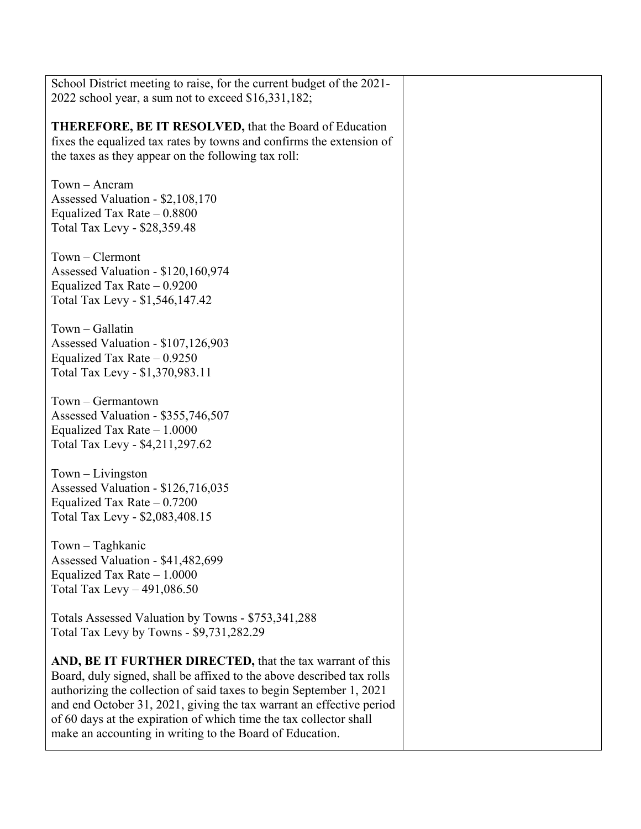| School District meeting to raise, for the current budget of the 2021-<br>2022 school year, a sum not to exceed \$16,331,182; |  |
|------------------------------------------------------------------------------------------------------------------------------|--|
|                                                                                                                              |  |
| <b>THEREFORE, BE IT RESOLVED, that the Board of Education</b>                                                                |  |
| fixes the equalized tax rates by towns and confirms the extension of                                                         |  |
| the taxes as they appear on the following tax roll:                                                                          |  |
|                                                                                                                              |  |
| $Town - Ancram$                                                                                                              |  |
|                                                                                                                              |  |
| Assessed Valuation - \$2,108,170                                                                                             |  |
| Equalized Tax Rate $-0.8800$                                                                                                 |  |
| Total Tax Levy - \$28,359.48                                                                                                 |  |
|                                                                                                                              |  |
|                                                                                                                              |  |
| Town - Clermont                                                                                                              |  |
| Assessed Valuation - \$120,160,974                                                                                           |  |
| Equalized Tax Rate $-0.9200$                                                                                                 |  |
| Total Tax Levy - \$1,546,147.42                                                                                              |  |
|                                                                                                                              |  |
|                                                                                                                              |  |
| Town - Gallatin                                                                                                              |  |
| Assessed Valuation - \$107,126,903                                                                                           |  |
| Equalized Tax Rate $-0.9250$                                                                                                 |  |
| Total Tax Levy - \$1,370,983.11                                                                                              |  |
|                                                                                                                              |  |
| $Town-Germantown$                                                                                                            |  |
|                                                                                                                              |  |
| Assessed Valuation - \$355,746,507                                                                                           |  |
| Equalized Tax Rate $-1.0000$                                                                                                 |  |
| Total Tax Levy - \$4,211,297.62                                                                                              |  |
|                                                                                                                              |  |
| $Town-Livington$                                                                                                             |  |
|                                                                                                                              |  |
| Assessed Valuation - \$126,716,035                                                                                           |  |
| Equalized Tax Rate $-0.7200$                                                                                                 |  |
| Total Tax Levy - \$2,083,408.15                                                                                              |  |
|                                                                                                                              |  |
| $Town-Taghkanic$                                                                                                             |  |
|                                                                                                                              |  |
| Assessed Valuation - \$41,482,699                                                                                            |  |
| Equalized Tax Rate $-1.0000$                                                                                                 |  |
| Total Tax Levy $-491,086.50$                                                                                                 |  |
|                                                                                                                              |  |
| Totals Assessed Valuation by Towns - \$753,341,288                                                                           |  |
|                                                                                                                              |  |
| Total Tax Levy by Towns - \$9,731,282.29                                                                                     |  |
|                                                                                                                              |  |
| AND, BE IT FURTHER DIRECTED, that the tax warrant of this                                                                    |  |
| Board, duly signed, shall be affixed to the above described tax rolls                                                        |  |
| authorizing the collection of said taxes to begin September 1, 2021                                                          |  |
|                                                                                                                              |  |
| and end October 31, 2021, giving the tax warrant an effective period                                                         |  |
| of 60 days at the expiration of which time the tax collector shall                                                           |  |
| make an accounting in writing to the Board of Education.                                                                     |  |
|                                                                                                                              |  |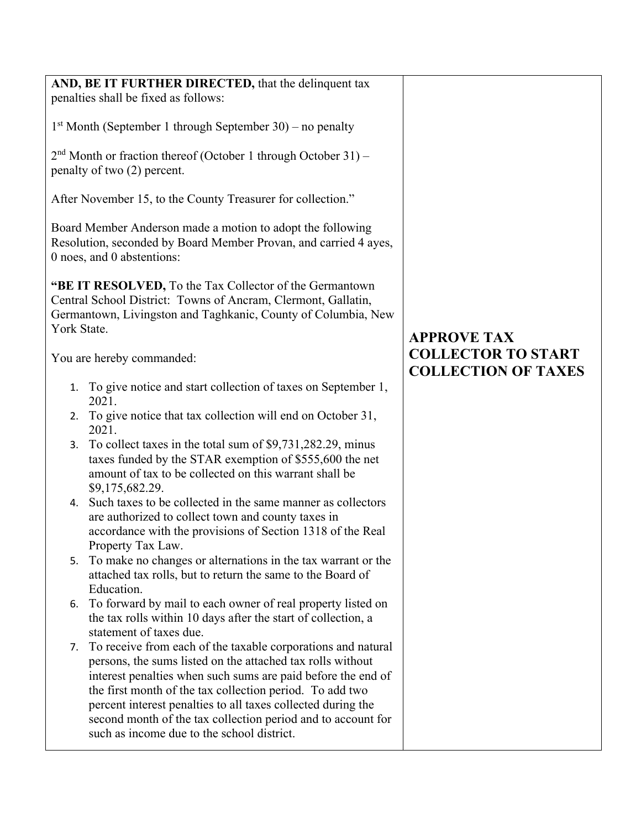| AND, BE IT FURTHER DIRECTED, that the delinquent tax<br>penalties shall be fixed as follows:                                                                                                                                                                                                                                                                                                                                                                                                                                                                                                                                                                                                                                                                                                                                                                                                                                                                                                                                                                                                                                                                                                                                                                                                                                                                                                                                                                                                                                                                                              |                                                                               |
|-------------------------------------------------------------------------------------------------------------------------------------------------------------------------------------------------------------------------------------------------------------------------------------------------------------------------------------------------------------------------------------------------------------------------------------------------------------------------------------------------------------------------------------------------------------------------------------------------------------------------------------------------------------------------------------------------------------------------------------------------------------------------------------------------------------------------------------------------------------------------------------------------------------------------------------------------------------------------------------------------------------------------------------------------------------------------------------------------------------------------------------------------------------------------------------------------------------------------------------------------------------------------------------------------------------------------------------------------------------------------------------------------------------------------------------------------------------------------------------------------------------------------------------------------------------------------------------------|-------------------------------------------------------------------------------|
| $1st$ Month (September 1 through September 30) – no penalty                                                                                                                                                                                                                                                                                                                                                                                                                                                                                                                                                                                                                                                                                                                                                                                                                                                                                                                                                                                                                                                                                                                                                                                                                                                                                                                                                                                                                                                                                                                               |                                                                               |
| $2nd$ Month or fraction thereof (October 1 through October 31) –<br>penalty of two (2) percent.                                                                                                                                                                                                                                                                                                                                                                                                                                                                                                                                                                                                                                                                                                                                                                                                                                                                                                                                                                                                                                                                                                                                                                                                                                                                                                                                                                                                                                                                                           |                                                                               |
| After November 15, to the County Treasurer for collection."                                                                                                                                                                                                                                                                                                                                                                                                                                                                                                                                                                                                                                                                                                                                                                                                                                                                                                                                                                                                                                                                                                                                                                                                                                                                                                                                                                                                                                                                                                                               |                                                                               |
| Board Member Anderson made a motion to adopt the following<br>Resolution, seconded by Board Member Provan, and carried 4 ayes,<br>0 noes, and 0 abstentions:                                                                                                                                                                                                                                                                                                                                                                                                                                                                                                                                                                                                                                                                                                                                                                                                                                                                                                                                                                                                                                                                                                                                                                                                                                                                                                                                                                                                                              |                                                                               |
| "BE IT RESOLVED, To the Tax Collector of the Germantown<br>Central School District: Towns of Ancram, Clermont, Gallatin,<br>Germantown, Livingston and Taghkanic, County of Columbia, New<br>York State.<br>You are hereby commanded:<br>1. To give notice and start collection of taxes on September 1,<br>2021.<br>To give notice that tax collection will end on October 31,<br>2.<br>2021.<br>To collect taxes in the total sum of \$9,731,282.29, minus<br>3.<br>taxes funded by the STAR exemption of \$555,600 the net<br>amount of tax to be collected on this warrant shall be<br>\$9,175,682.29.<br>Such taxes to be collected in the same manner as collectors<br>4.<br>are authorized to collect town and county taxes in<br>accordance with the provisions of Section 1318 of the Real<br>Property Tax Law.<br>To make no changes or alternations in the tax warrant or the<br>5.<br>attached tax rolls, but to return the same to the Board of<br>Education.<br>To forward by mail to each owner of real property listed on<br>6.<br>the tax rolls within 10 days after the start of collection, a<br>statement of taxes due.<br>To receive from each of the taxable corporations and natural<br>7.<br>persons, the sums listed on the attached tax rolls without<br>interest penalties when such sums are paid before the end of<br>the first month of the tax collection period. To add two<br>percent interest penalties to all taxes collected during the<br>second month of the tax collection period and to account for<br>such as income due to the school district. | <b>APPROVE TAX</b><br><b>COLLECTOR TO START</b><br><b>COLLECTION OF TAXES</b> |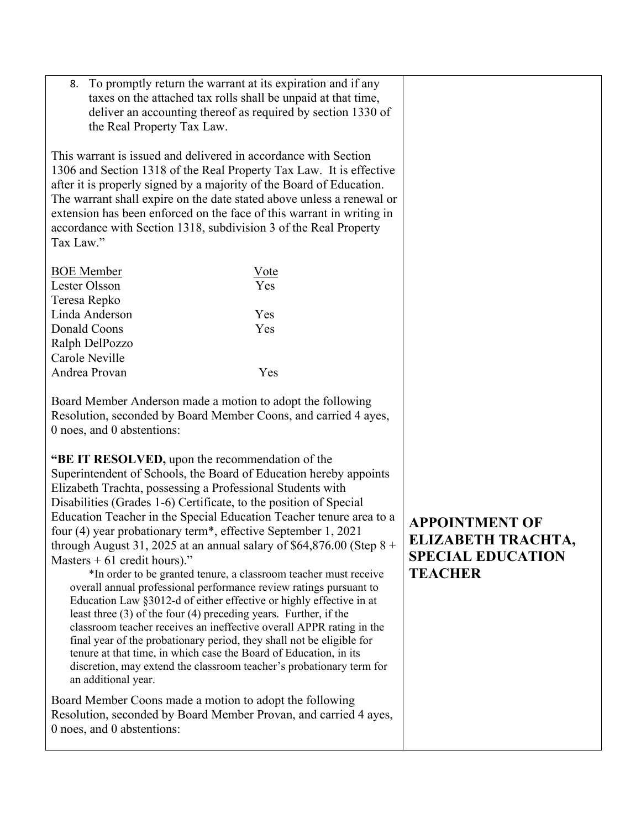8. To promptly return the warrant at its expiration and if any taxes on the attached tax rolls shall be unpaid at that time, deliver an accounting thereof as required by section 1330 of the Real Property Tax Law.

This warrant is issued and delivered in accordance with Section 1306 and Section 1318 of the Real Property Tax Law. It is effective after it is properly signed by a majority of the Board of Education. The warrant shall expire on the date stated above unless a renewal or extension has been enforced on the face of this warrant in writing in accordance with Section 1318, subdivision 3 of the Real Property Tax Law."

| Vote |
|------|
| Yes  |
|      |
| Yes  |
| Yes  |
|      |
|      |
| Yes  |
|      |

Board Member Anderson made a motion to adopt the following Resolution, seconded by Board Member Coons, and carried 4 ayes, 0 noes, and 0 abstentions:

**"BE IT RESOLVED,** upon the recommendation of the Superintendent of Schools, the Board of Education hereby appoints Elizabeth Trachta, possessing a Professional Students with Disabilities (Grades 1-6) Certificate, to the position of Special Education Teacher in the Special Education Teacher tenure area to a four (4) year probationary term\*, effective September 1, 2021 through August 31, 2025 at an annual salary of \$64,876.00 (Step  $8 +$ Masters  $+61$  credit hours)."

\*In order to be granted tenure, a classroom teacher must receive overall annual professional performance review ratings pursuant to Education Law §3012-d of either effective or highly effective in at least three (3) of the four (4) preceding years. Further, if the classroom teacher receives an ineffective overall APPR rating in the final year of the probationary period, they shall not be eligible for tenure at that time, in which case the Board of Education, in its discretion, may extend the classroom teacher's probationary term for an additional year.

Board Member Coons made a motion to adopt the following Resolution, seconded by Board Member Provan, and carried 4 ayes, 0 noes, and 0 abstentions:

**APPOINTMENT OF ELIZABETH TRACHTA, SPECIAL EDUCATION TEACHER**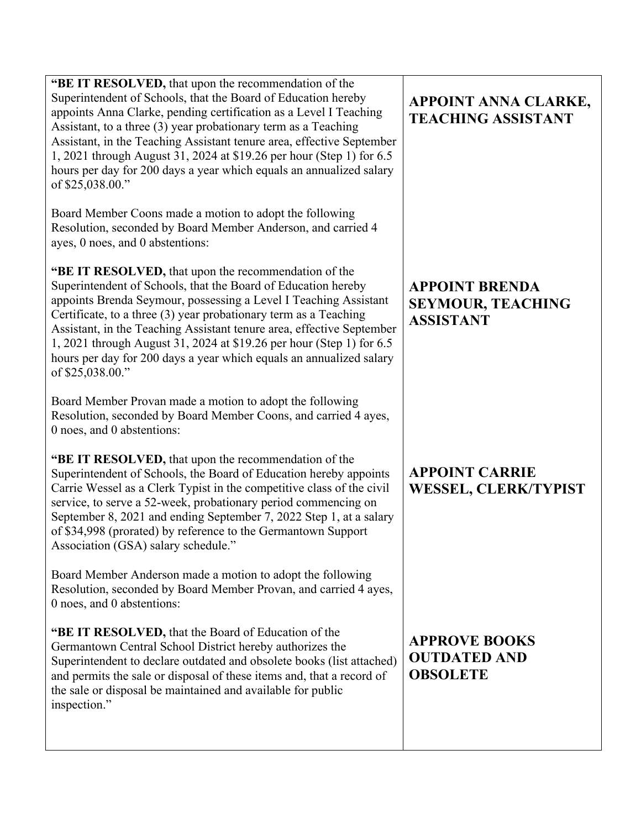| "BE IT RESOLVED, that upon the recommendation of the<br>Superintendent of Schools, that the Board of Education hereby<br>appoints Anna Clarke, pending certification as a Level I Teaching<br>Assistant, to a three (3) year probationary term as a Teaching<br>Assistant, in the Teaching Assistant tenure area, effective September<br>1, 2021 through August 31, 2024 at \$19.26 per hour (Step 1) for 6.5<br>hours per day for 200 days a year which equals an annualized salary<br>of \$25,038.00."  | APPOINT ANNA CLARKE,<br><b>TEACHING ASSISTANT</b>                     |
|-----------------------------------------------------------------------------------------------------------------------------------------------------------------------------------------------------------------------------------------------------------------------------------------------------------------------------------------------------------------------------------------------------------------------------------------------------------------------------------------------------------|-----------------------------------------------------------------------|
| Board Member Coons made a motion to adopt the following<br>Resolution, seconded by Board Member Anderson, and carried 4<br>ayes, 0 noes, and 0 abstentions:                                                                                                                                                                                                                                                                                                                                               |                                                                       |
| "BE IT RESOLVED, that upon the recommendation of the<br>Superintendent of Schools, that the Board of Education hereby<br>appoints Brenda Seymour, possessing a Level I Teaching Assistant<br>Certificate, to a three (3) year probationary term as a Teaching<br>Assistant, in the Teaching Assistant tenure area, effective September<br>1, 2021 through August 31, 2024 at \$19.26 per hour (Step 1) for 6.5<br>hours per day for 200 days a year which equals an annualized salary<br>of \$25,038.00." | <b>APPOINT BRENDA</b><br><b>SEYMOUR, TEACHING</b><br><b>ASSISTANT</b> |
| Board Member Provan made a motion to adopt the following<br>Resolution, seconded by Board Member Coons, and carried 4 ayes,<br>0 noes, and 0 abstentions:                                                                                                                                                                                                                                                                                                                                                 |                                                                       |
| "BE IT RESOLVED, that upon the recommendation of the<br>Superintendent of Schools, the Board of Education hereby appoints<br>Carrie Wessel as a Clerk Typist in the competitive class of the civil<br>service, to serve a 52-week, probationary period commencing on<br>September 8, 2021 and ending September 7, 2022 Step 1, at a salary<br>of \$34,998 (prorated) by reference to the Germantown Support<br>Association (GSA) salary schedule."                                                        | <b>APPOINT CARRIE</b><br><b>WESSEL, CLERK/TYPIST</b>                  |
| Board Member Anderson made a motion to adopt the following<br>Resolution, seconded by Board Member Provan, and carried 4 ayes,<br>0 noes, and 0 abstentions:                                                                                                                                                                                                                                                                                                                                              |                                                                       |
| "BE IT RESOLVED, that the Board of Education of the<br>Germantown Central School District hereby authorizes the<br>Superintendent to declare outdated and obsolete books (list attached)<br>and permits the sale or disposal of these items and, that a record of<br>the sale or disposal be maintained and available for public<br>inspection."                                                                                                                                                          | <b>APPROVE BOOKS</b><br><b>OUTDATED AND</b><br><b>OBSOLETE</b>        |
|                                                                                                                                                                                                                                                                                                                                                                                                                                                                                                           |                                                                       |